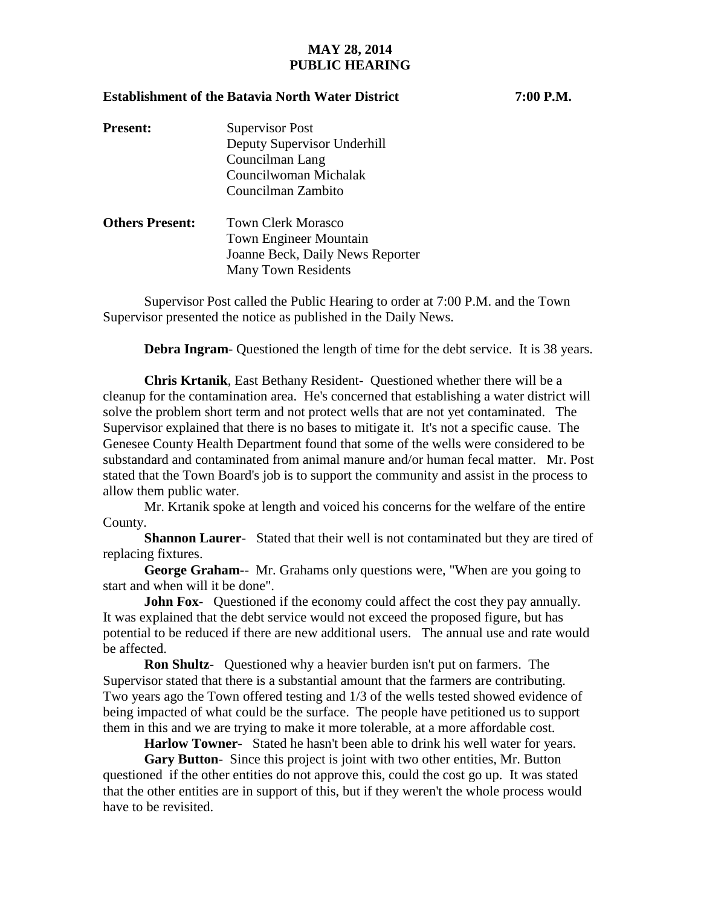## **MAY 28, 2014 PUBLIC HEARING**

## **Establishment of the Batavia North Water District 7:00 P.M.**

| <b>Present:</b>        | <b>Supervisor Post</b>        |
|------------------------|-------------------------------|
|                        | Deputy Supervisor Underhill   |
|                        | Councilman Lang               |
|                        | Councilwoman Michalak         |
|                        | Councilman Zambito            |
| <b>Others Present:</b> | <b>Town Clerk Morasco</b>     |
|                        | <b>Town Engineer Mountain</b> |

Supervisor Post called the Public Hearing to order at 7:00 P.M. and the Town Supervisor presented the notice as published in the Daily News.

Joanne Beck, Daily News Reporter

Many Town Residents

**Debra Ingram**- Questioned the length of time for the debt service. It is 38 years.

**Chris Krtanik**, East Bethany Resident- Questioned whether there will be a cleanup for the contamination area. He's concerned that establishing a water district will solve the problem short term and not protect wells that are not yet contaminated. The Supervisor explained that there is no bases to mitigate it. It's not a specific cause. The Genesee County Health Department found that some of the wells were considered to be substandard and contaminated from animal manure and/or human fecal matter. Mr. Post stated that the Town Board's job is to support the community and assist in the process to allow them public water.

Mr. Krtanik spoke at length and voiced his concerns for the welfare of the entire County.

**Shannon Laurer**- Stated that their well is not contaminated but they are tired of replacing fixtures.

**George Graham-**- Mr. Grahams only questions were, "When are you going to start and when will it be done".

**John Fox-** Questioned if the economy could affect the cost they pay annually. It was explained that the debt service would not exceed the proposed figure, but has potential to be reduced if there are new additional users. The annual use and rate would be affected.

**Ron Shultz**- Questioned why a heavier burden isn't put on farmers. The Supervisor stated that there is a substantial amount that the farmers are contributing. Two years ago the Town offered testing and 1/3 of the wells tested showed evidence of being impacted of what could be the surface. The people have petitioned us to support them in this and we are trying to make it more tolerable, at a more affordable cost.

**Harlow Towner**- Stated he hasn't been able to drink his well water for years.

Gary Button-Since this project is joint with two other entities, Mr. Button questioned if the other entities do not approve this, could the cost go up. It was stated that the other entities are in support of this, but if they weren't the whole process would have to be revisited.